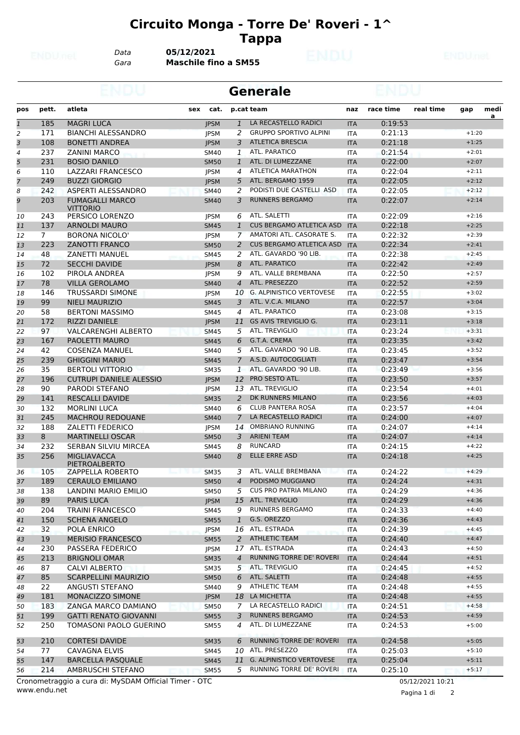## **Circuito Monga - Torre De' Roveri - 1^ Tappa**

*Data* **05/12/2021**

*Gara* **Maschile fino a SM55**

|                |                |                                           |             | <b>Generale</b> |                                 |            |           |           |         |      |  |  |
|----------------|----------------|-------------------------------------------|-------------|-----------------|---------------------------------|------------|-----------|-----------|---------|------|--|--|
| pos            | pett.          | atleta<br>sex                             | cat.        |                 | p.cat team                      | naz        | race time | real time | gap     | medi |  |  |
| $\mathbf{1}$   | 185            | <b>MAGRI LUCA</b>                         | <b>IPSM</b> | 1               | LA RECASTELLO RADICI            | <b>ITA</b> | 0:19:53   |           |         | a    |  |  |
| 2              | 171            | <b>BIANCHI ALESSANDRO</b>                 | <b>JPSM</b> | 2               | <b>GRUPPO SPORTIVO ALPINI</b>   | <b>ITA</b> | 0:21:13   |           | $+1:20$ |      |  |  |
| 3              | 108            | <b>BONETTI ANDREA</b>                     | <b>JPSM</b> | 3               | <b>ATLETICA BRESCIA</b>         | <b>ITA</b> | 0:21:18   |           | $+1:25$ |      |  |  |
| 4              | 237            | <b>ZANINI MARCO</b>                       | <b>SM40</b> | 1               | <b>ATL. PARATICO</b>            | ITA        | 0:21:54   |           | $+2:01$ |      |  |  |
| 5              | 231            | <b>BOSIO DANILO</b>                       | <b>SM50</b> | 1               | ATL. DI LUMEZZANE               | <b>ITA</b> | 0:22:00   |           | $+2:07$ |      |  |  |
| 6              | 110            | LAZZARI FRANCESCO                         | <b>JPSM</b> | 4               | ATLETICA MARATHON               | <b>ITA</b> | 0:22:04   |           | $+2:11$ |      |  |  |
| $\overline{7}$ | 249            | <b>BUZZI GIORGIO</b>                      | <b>IPSM</b> | 5               | ATL. BERGAMO 1959               | <b>ITA</b> | 0:22:05   |           | $+2:12$ |      |  |  |
| 8              | 242            | ASPERTI ALESSANDRO                        | <b>SM40</b> | 2               | PODISTI DUE CASTELLI ASD        | <b>ITA</b> | 0:22:05   |           | $+2:12$ |      |  |  |
| 9              | 203            | <b>FUMAGALLI MARCO</b><br><b>VITTORIO</b> | <b>SM40</b> | 3               | <b>RUNNERS BERGAMO</b>          | <b>ITA</b> | 0:22:07   |           | $+2:14$ |      |  |  |
| 10             | 243            | PERSICO LORENZO                           | <b>JPSM</b> | 6               | ATL. SALETTI                    | <b>ITA</b> | 0:22:09   |           | $+2:16$ |      |  |  |
| 11             | 137            | <b>ARNOLDI MAURO</b>                      | <b>SM45</b> | $\mathbf{1}$    | <b>CUS BERGAMO ATLETICA ASD</b> | <b>ITA</b> | 0:22:18   |           | $+2:25$ |      |  |  |
| 12             | $\overline{7}$ | <b>BORONA NICOLO'</b>                     | <b>JPSM</b> | 7               | AMATORI ATL. CASORATE S.        | <b>ITA</b> | 0:22:32   |           | $+2:39$ |      |  |  |
| 13             | 223            | <b>ZANOTTI FRANCO</b>                     | <b>SM50</b> | 2               | <b>CUS BERGAMO ATLETICA ASD</b> | <b>ITA</b> | 0:22:34   |           | $+2:41$ |      |  |  |
| 14             | 48             | <b>ZANETTI MANUEL</b>                     | <b>SM45</b> | 2               | ATL. GAVARDO '90 LIB.           | <b>ITA</b> | 0:22:38   |           | $+2:45$ |      |  |  |
| 15             | 72             | <b>SECCHI DAVIDE</b>                      | <b>JPSM</b> | 8               | ATL. PARATICO                   | <b>ITA</b> | 0:22:42   |           | $+2:49$ |      |  |  |
| 16             | 102            | PIROLA ANDREA                             | <b>JPSM</b> | 9               | ATL. VALLE BREMBANA             | <b>ITA</b> | 0:22:50   |           | $+2:57$ |      |  |  |
| 17             | 78             | <b>VILLA GEROLAMO</b>                     | <b>SM40</b> | $\overline{4}$  | ATL. PRESEZZO                   | <b>ITA</b> | 0:22:52   |           | $+2:59$ |      |  |  |
| 18             | 146            | <b>TRUSSARDI SIMONE</b>                   | <b>JPSM</b> | 10              | <b>G. ALPINISTICO VERTOVESE</b> | <b>ITA</b> | 0:22:55   |           | $+3:02$ |      |  |  |
| 19             | 99             | <b>NIELI MAURIZIO</b>                     | <b>SM45</b> | 3               | ATL, V.C.A. MILANO              | <b>ITA</b> | 0:22:57   |           | $+3:04$ |      |  |  |
| 20             | 58             | <b>BERTONI MASSIMO</b>                    | <b>SM45</b> | 4               | ATL. PARATICO                   | <b>ITA</b> | 0:23:08   |           | $+3:15$ |      |  |  |
| 21             | 172            | <b>RIZZI DANIELE</b>                      | <b>JPSM</b> | 11              | <b>GS AVIS TREVIGLIO G.</b>     | <b>ITA</b> | 0:23:11   |           | $+3:18$ |      |  |  |
| 22             | 97             | <b>VALCARENGHI ALBERTO</b>                | <b>SM45</b> | 5               | ATL. TREVIGLIO                  | <b>ITA</b> | 0:23:24   |           | $+3:31$ |      |  |  |
| 23             | 167            | PAOLETTI MAURO                            | <b>SM45</b> | 6               | G.T.A. CREMA                    | <b>ITA</b> | 0:23:35   |           | $+3:42$ |      |  |  |
| 24             | 42             | <b>COSENZA MANUEL</b>                     | <b>SM40</b> | 5               | ATL. GAVARDO '90 LIB.           | <b>ITA</b> | 0:23:45   |           | $+3:52$ |      |  |  |
| 25             | 239            | <b>GHIGGINI MARIO</b>                     | <b>SM45</b> | $\overline{7}$  | A.S.D. AUTOCOGLIATI             | <b>ITA</b> | 0:23:47   |           | $+3:54$ |      |  |  |
| 26             | 35             | <b>BERTOLI VITTORIO</b>                   | <b>SM35</b> | 1               | ATL. GAVARDO '90 LIB.           | <b>ITA</b> | 0:23:49   |           | $+3:56$ |      |  |  |
| 27             | 196            | <b>CUTRUPI DANIELE ALESSIO</b>            | <b>JPSM</b> | 12              | PRO SESTO ATL.                  | <b>ITA</b> | 0:23:50   |           | $+3:57$ |      |  |  |
| 28             | 90             | <b>PARODI STEFANO</b>                     | <b>JPSM</b> | 13              | <b>ATL. TREVIGLIO</b>           | ITA        | 0:23:54   |           | $+4:01$ |      |  |  |
| 29             | 141            | <b>RESCALLI DAVIDE</b>                    | <b>SM35</b> | 2               | DK RUNNERS MILANO               | <b>ITA</b> | 0:23:56   |           | $+4:03$ |      |  |  |
| 30             | 132            | <b>MORLINI LUCA</b>                       | <b>SM40</b> | 6               | <b>CLUB PANTERA ROSA</b>        | <b>ITA</b> | 0:23:57   |           | $+4:04$ |      |  |  |
| 31             | 245            | <b>MACHROU REDOUANE</b>                   | <b>SM40</b> | 7               | LA RECASTELLO RADICI            | <b>ITA</b> | 0:24:00   |           | $+4:07$ |      |  |  |
| 32             | 188            | <b>ZALETTI FEDERICO</b>                   |             | 14              | <b>OMBRIANO RUNNING</b>         | <b>ITA</b> | 0:24:07   |           | $+4:14$ |      |  |  |
| 33             | 8              | <b>MARTINELLI OSCAR</b>                   | <b>IPSM</b> | 3               | <b>ARIENI TEAM</b>              |            |           |           | $+4:14$ |      |  |  |
|                | 232            | SERBAN SILVIU MIRCEA                      | <b>SM50</b> |                 | <b>RUNCARD</b>                  | <b>ITA</b> | 0:24:07   |           | $+4:22$ |      |  |  |
| 34             |                | <b>MIGLIAVACCA</b>                        | SM45        | 8               | <b>ELLE ERRE ASD</b>            | ITA        | 0:24:15   |           | $+4:25$ |      |  |  |
| 35             | 256            | <b>PIETROALBERTO</b>                      | <b>SM40</b> | 8               |                                 | <b>ITA</b> | 0:24:18   |           |         |      |  |  |
| 36             | 105            | ZAPPELLA ROBERTO                          | <b>SM35</b> | 3               | ATL. VALLE BREMBANA             | <b>ITA</b> | 0:24:22   |           | $+4:29$ |      |  |  |
| 37             | 189            | <b>CERAULO EMILIANO</b>                   | <b>SM50</b> | 4               | PODISMO MUGGIANO                | <b>ITA</b> | 0:24:24   |           | $+4:31$ |      |  |  |
| 38             | 138            | LANDINI MARIO EMILIO                      | <b>SM50</b> | 5               | <b>CUS PRO PATRIA MILANO</b>    | ITA        | 0:24:29   |           | $+4:36$ |      |  |  |
| 39             | 89             | <b>PARIS LUCA</b>                         | <b>JPSM</b> | 15              | ATL. TREVIGLIO                  | <b>ITA</b> | 0:24:29   |           | $+4:36$ |      |  |  |
| 40             | 204            | TRAINI FRANCESCO                          | <b>SM45</b> | 9               | RUNNERS BERGAMO                 | ITA        | 0:24:33   |           | $+4:40$ |      |  |  |
| 41             | 150            | <b>SCHENA ANGELO</b>                      | <b>SM55</b> | $\mathbf{1}$    | G.S. OREZZO                     | <b>ITA</b> | 0:24:36   |           | $+4:43$ |      |  |  |
| 42             | 32             | POLA ENRICO                               | <b>JPSM</b> |                 | 16 ATL. ESTRADA                 | ITA        | 0:24:39   |           | $+4:45$ |      |  |  |
| 43             | 19             | <b>MERISIO FRANCESCO</b>                  | <b>SM55</b> |                 | 2 ATHLETIC TEAM                 | <b>ITA</b> | 0:24:40   |           | $+4:47$ |      |  |  |
| 44             | 230            | PASSERA FEDERICO                          | <b>JPSM</b> |                 | 17 ATL. ESTRADA                 | ITA        | 0:24:43   |           | $+4:50$ |      |  |  |
| 45             | 213            | <b>BRIGNOLI OMAR</b>                      | <b>SM35</b> | $\overline{4}$  | RUNNING TORRE DE' ROVERI        | <b>ITA</b> | 0:24:44   |           | $+4:51$ |      |  |  |
| 46             | 87             | <b>CALVI ALBERTO</b>                      | <b>SM35</b> | 5               | ATL. TREVIGLIO                  | ITA        | 0:24:45   |           | $+4:52$ |      |  |  |
| 47             | 85             | <b>SCARPELLINI MAURIZIO</b>               | <b>SM50</b> | 6               | ATL. SALETTI                    | <b>ITA</b> | 0:24:48   |           | $+4:55$ |      |  |  |
| 48             | 22             | ANGUSTI STEFANO                           | <b>SM40</b> | 9               | <b>ATHLETIC TEAM</b>            | ITA        | 0:24:48   |           | $+4:55$ |      |  |  |
| 49             | 181            | MONACIZZO SIMONE                          | <b>JPSM</b> | 18              | LA MICHETTA                     | <b>ITA</b> | 0:24:48   |           | $+4:55$ |      |  |  |
| 50             | 183            | ZANGA MARCO DAMIANO                       | <b>SM50</b> | 7               | LA RECASTELLO RADICI            | <b>ITA</b> | 0:24:51   |           | $+4:58$ |      |  |  |
| 51             | 199            | <b>GATTI RENATO GIOVANNI</b>              | <b>SM55</b> | 3               | RUNNERS BERGAMO                 | <b>ITA</b> | 0:24:53   |           | $+4:59$ |      |  |  |
| 52             | 250            | TOMASONI PAOLO GUERINO                    | SM55        | 4               | ATL. DI LUMEZZANE               | ITA        | 0:24:53   |           | $+5:00$ |      |  |  |
| 53             | 210            | <b>CORTESI DAVIDE</b>                     | <b>SM35</b> | 6               | RUNNING TORRE DE' ROVERI        | <b>ITA</b> | 0:24:58   |           | $+5:05$ |      |  |  |
| 54             | 77             | CAVAGNA ELVIS                             | <b>SM45</b> | 10              | ATL. PRESEZZO                   | ITA        | 0:25:03   |           | $+5:10$ |      |  |  |
| 55             | 147            | <b>BARCELLA PASQUALE</b>                  | <b>SM45</b> | 11              | G. ALPINISTICO VERTOVESE        | <b>ITA</b> | 0:25:04   |           | $+5:11$ |      |  |  |
| 56             | 214            | AMBRUSCHI STEFANO                         | <b>SM55</b> | 5               | RUNNING TORRE DE' ROVERI        | ITA        | 0:25:10   |           | $+5:17$ |      |  |  |
|                |                |                                           |             |                 |                                 |            |           |           |         |      |  |  |

www.endu.net Cronometraggio a cura di: MySDAM Official Timer - OTC 05/12/2021 10:21

Pagina 1 di 2